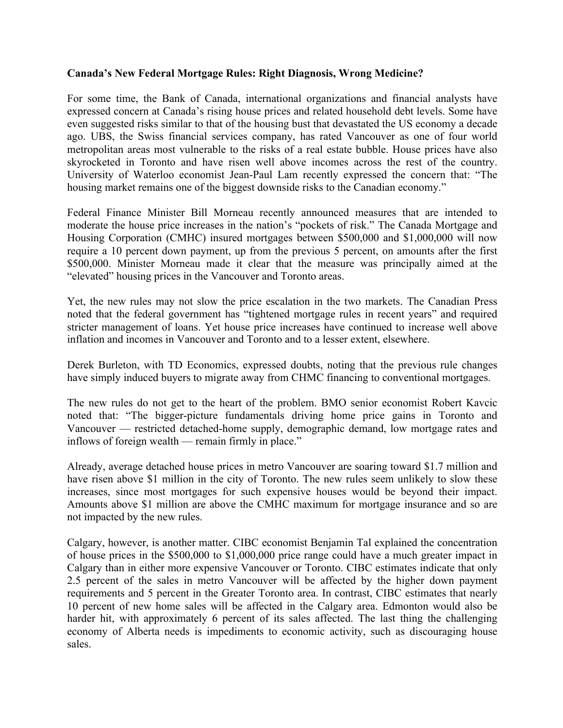## **Canada's New Federal Mortgage Rules: Right Diagnosis, Wrong Medicine?**

For some time, the Bank of Canada, international organizations and financial analysts have expressed concern at Canada's rising house prices and related household debt levels. Some have even suggested risks similar to that of the housing bust that devastated the US economy a decade ago. UBS, the Swiss financial services company, has rated Vancouver as one of four world metropolitan areas most vulnerable to the risks of a real estate bubble. House prices have also skyrocketed in Toronto and have risen well above incomes across the rest of the country. University of Waterloo economist Jean-Paul Lam recently expressed the concern that: "The housing market remains one of the biggest downside risks to the Canadian economy."

Federal Finance Minister Bill Morneau recently announced measures that are intended to moderate the house price increases in the nation's "pockets of risk." The Canada Mortgage and Housing Corporation (CMHC) insured mortgages between \$500,000 and \$1,000,000 will now require a 10 percent down payment, up from the previous 5 percent, on amounts after the first \$500,000. Minister Morneau made it clear that the measure was principally aimed at the "elevated" housing prices in the Vancouver and Toronto areas.

Yet, the new rules may not slow the price escalation in the two markets. The Canadian Press noted that the federal government has "tightened mortgage rules in recent years" and required stricter management of loans. Yet house price increases have continued to increase well above inflation and incomes in Vancouver and Toronto and to a lesser extent, elsewhere.

Derek Burleton, with TD Economics, expressed doubts, noting that the previous rule changes have simply induced buyers to migrate away from CHMC financing to conventional mortgages.

The new rules do not get to the heart of the problem. BMO senior economist Robert Kavcic noted that: "The bigger-picture fundamentals driving home price gains in Toronto and Vancouver — restricted detached-home supply, demographic demand, low mortgage rates and inflows of foreign wealth — remain firmly in place."

Already, average detached house prices in metro Vancouver are soaring toward \$1.7 million and have risen above \$1 million in the city of Toronto. The new rules seem unlikely to slow these increases, since most mortgages for such expensive houses would be beyond their impact. Amounts above \$1 million are above the CMHC maximum for mortgage insurance and so are not impacted by the new rules.

Calgary, however, is another matter. CIBC economist Benjamin Tal explained the concentration of house prices in the \$500,000 to \$1,000,000 price range could have a much greater impact in Calgary than in either more expensive Vancouver or Toronto. CIBC estimates indicate that only 2.5 percent of the sales in metro Vancouver will be affected by the higher down payment requirements and 5 percent in the Greater Toronto area. In contrast, CIBC estimates that nearly 10 percent of new home sales will be affected in the Calgary area. Edmonton would also be harder hit, with approximately 6 percent of its sales affected. The last thing the challenging economy of Alberta needs is impediments to economic activity, such as discouraging house sales.